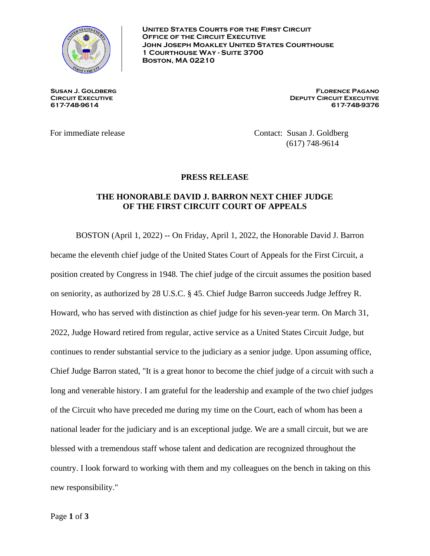

**United States Courts for the First Circuit OFFICE OF THE CIRCUIT EXECUTIVE John Joseph Moakley United States Courthouse 1 Courthouse Way - Suite 3700 Boston, MA 02210**

**Susan J. Goldberg Florence Pagano CIRCUIT EXECUTIVE DEPUTY CIRCUIT EXECUTIVE 617-748-9614 617-748-9376**

For immediate release Contact: Susan J. Goldberg (617) 748-9614

## **PRESS RELEASE**

## **THE HONORABLE DAVID J. BARRON NEXT CHIEF JUDGE OF THE FIRST CIRCUIT COURT OF APPEALS**

BOSTON (April 1, 2022) -- On Friday, April 1, 2022, the Honorable David J. Barron became the eleventh chief judge of the United States Court of Appeals for the First Circuit, a position created by Congress in 1948. The chief judge of the circuit assumes the position based on seniority, as authorized by 28 U.S.C. § 45. Chief Judge Barron succeeds Judge Jeffrey R. Howard, who has served with distinction as chief judge for his seven-year term. On March 31, 2022, Judge Howard retired from regular, active service as a United States Circuit Judge, but continues to render substantial service to the judiciary as a senior judge. Upon assuming office, Chief Judge Barron stated, "It is a great honor to become the chief judge of a circuit with such a long and venerable history. I am grateful for the leadership and example of the two chief judges of the Circuit who have preceded me during my time on the Court, each of whom has been a national leader for the judiciary and is an exceptional judge. We are a small circuit, but we are blessed with a tremendous staff whose talent and dedication are recognized throughout the country. I look forward to working with them and my colleagues on the bench in taking on this new responsibility."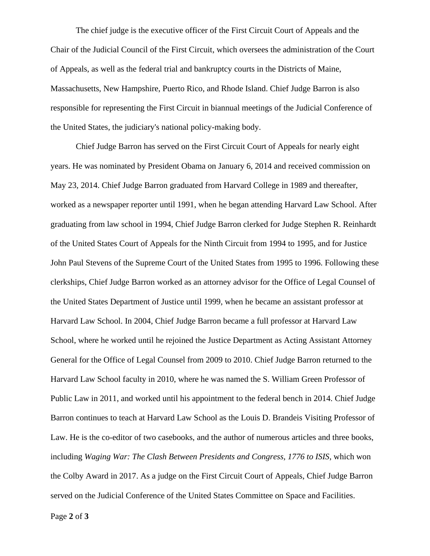The chief judge is the executive officer of the First Circuit Court of Appeals and the Chair of the Judicial Council of the First Circuit, which oversees the administration of the Court of Appeals, as well as the federal trial and bankruptcy courts in the Districts of Maine, Massachusetts, New Hampshire, Puerto Rico, and Rhode Island. Chief Judge Barron is also responsible for representing the First Circuit in biannual meetings of the Judicial Conference of the United States, the judiciary's national policy-making body.

Chief Judge Barron has served on the First Circuit Court of Appeals for nearly eight years. He was nominated by President Obama on January 6, 2014 and received commission on May 23, 2014. Chief Judge Barron graduated from Harvard College in 1989 and thereafter, worked as a newspaper reporter until 1991, when he began attending Harvard Law School. After graduating from law school in 1994, Chief Judge Barron clerked for Judge Stephen R. Reinhardt of the United States Court of Appeals for the Ninth Circuit from 1994 to 1995, and for Justice John Paul Stevens of the Supreme Court of the United States from 1995 to 1996. Following these clerkships, Chief Judge Barron worked as an attorney advisor for the Office of Legal Counsel of the United States Department of Justice until 1999, when he became an assistant professor at Harvard Law School. In 2004, Chief Judge Barron became a full professor at Harvard Law School, where he worked until he rejoined the Justice Department as Acting Assistant Attorney General for the Office of Legal Counsel from 2009 to 2010. Chief Judge Barron returned to the Harvard Law School faculty in 2010, where he was named the S. William Green Professor of Public Law in 2011, and worked until his appointment to the federal bench in 2014. Chief Judge Barron continues to teach at Harvard Law School as the Louis D. Brandeis Visiting Professor of Law. He is the co-editor of two casebooks, and the author of numerous articles and three books, including *Waging War: The Clash Between Presidents and Congress, 1776 to ISIS*, which won the Colby Award in 2017. As a judge on the First Circuit Court of Appeals, Chief Judge Barron served on the Judicial Conference of the United States Committee on Space and Facilities.

Page **2** of **3**